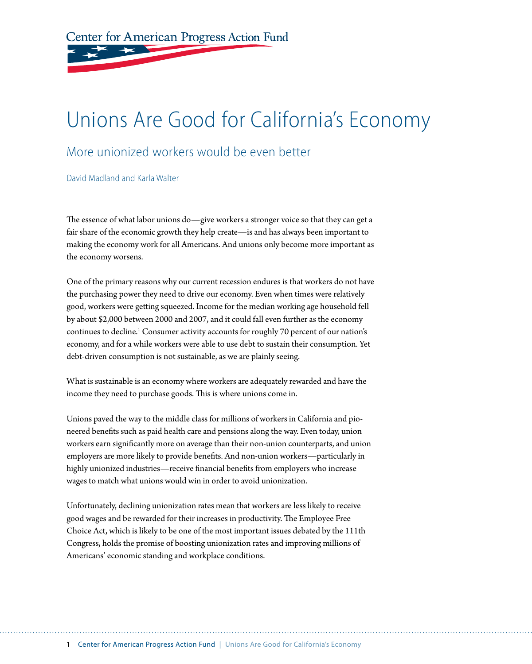Center for American Progress Action Fund

# Unions Are Good for California's Economy

#### More unionized workers would be even better

David Madland and Karla Walter

The essence of what labor unions do—give workers a stronger voice so that they can get a fair share of the economic growth they help create—is and has always been important to making the economy work for all Americans. And unions only become more important as the economy worsens.

One of the primary reasons why our current recession endures is that workers do not have the purchasing power they need to drive our economy. Even when times were relatively good, workers were getting squeezed. Income for the median working age household fell by about \$2,000 between 2000 and 2007, and it could fall even further as the economy continues to decline.<sup>1</sup> Consumer activity accounts for roughly 70 percent of our nation's economy, and for a while workers were able to use debt to sustain their consumption. Yet debt-driven consumption is not sustainable, as we are plainly seeing.

What is sustainable is an economy where workers are adequately rewarded and have the income they need to purchase goods. This is where unions come in.

Unions paved the way to the middle class for millions of workers in California and pioneered benefits such as paid health care and pensions along the way. Even today, union workers earn significantly more on average than their non-union counterparts, and union employers are more likely to provide benefits. And non-union workers—particularly in highly unionized industries—receive financial benefits from employers who increase wages to match what unions would win in order to avoid unionization.

Unfortunately, declining unionization rates mean that workers are less likely to receive good wages and be rewarded for their increases in productivity. The Employee Free Choice Act, which is likely to be one of the most important issues debated by the 111th Congress, holds the promise of boosting unionization rates and improving millions of Americans' economic standing and workplace conditions.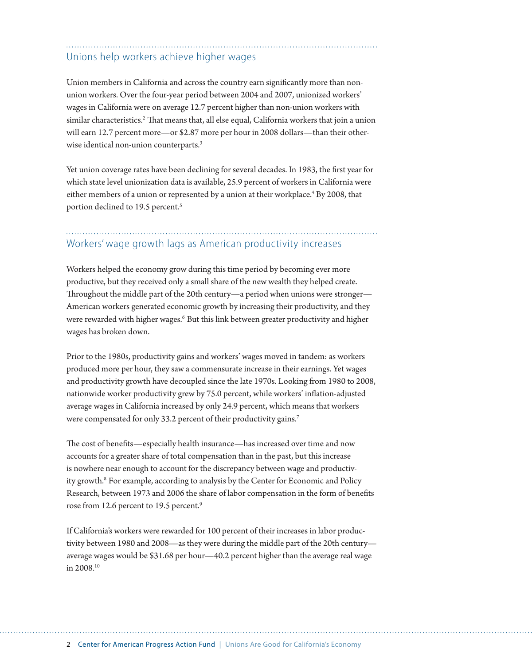#### Unions help workers achieve higher wages

Union members in California and across the country earn significantly more than nonunion workers. Over the four-year period between 2004 and 2007, unionized workers' wages in California were on average 12.7 percent higher than non-union workers with similar characteristics.<sup>2</sup> That means that, all else equal, California workers that join a union will earn 12.7 percent more—or \$2.87 more per hour in 2008 dollars—than their otherwise identical non-union counterparts.3

Yet union coverage rates have been declining for several decades. In 1983, the first year for which state level unionization data is available, 25.9 percent of workers in California were either members of a union or represented by a union at their workplace.<sup>4</sup> By 2008, that portion declined to 19.5 percent.<sup>5</sup>

### Workers' wage growth lags as American productivity increases

Workers helped the economy grow during this time period by becoming ever more productive, but they received only a small share of the new wealth they helped create. Throughout the middle part of the 20th century—a period when unions were stronger— American workers generated economic growth by increasing their productivity, and they were rewarded with higher wages.<sup>6</sup> But this link between greater productivity and higher wages has broken down.

Prior to the 1980s, productivity gains and workers' wages moved in tandem: as workers produced more per hour, they saw a commensurate increase in their earnings. Yet wages and productivity growth have decoupled since the late 1970s. Looking from 1980 to 2008, nationwide worker productivity grew by 75.0 percent, while workers' inflation-adjusted average wages in California increased by only 24.9 percent, which means that workers were compensated for only 33.2 percent of their productivity gains.<sup>7</sup>

The cost of benefits—especially health insurance—has increased over time and now accounts for a greater share of total compensation than in the past, but this increase is nowhere near enough to account for the discrepancy between wage and productivity growth.<sup>8</sup> For example, according to analysis by the Center for Economic and Policy Research, between 1973 and 2006 the share of labor compensation in the form of benefits rose from 12.6 percent to 19.5 percent.<sup>9</sup>

If California's workers were rewarded for 100 percent of their increases in labor productivity between 1980 and 2008—as they were during the middle part of the 20th century average wages would be \$31.68 per hour—40.2 percent higher than the average real wage in 2008.10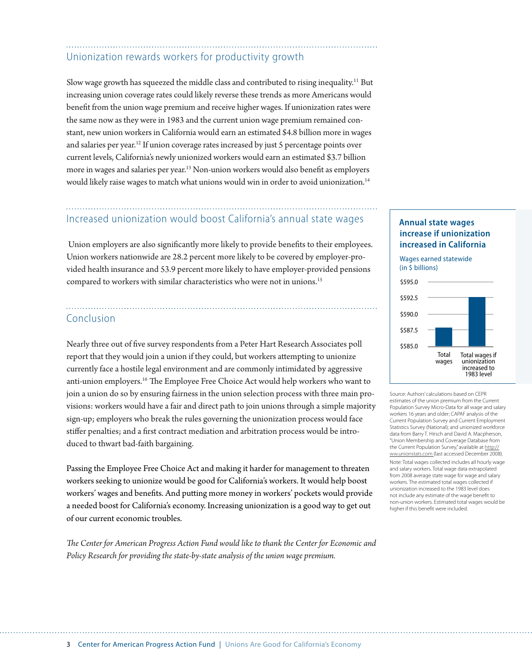### Unionization rewards workers for productivity growth

Slow wage growth has squeezed the middle class and contributed to rising inequality.11 But increasing union coverage rates could likely reverse these trends as more Americans would benefit from the union wage premium and receive higher wages. If unionization rates were the same now as they were in 1983 and the current union wage premium remained constant, new union workers in California would earn an estimated \$4.8 billion more in wages and salaries per year.<sup>12</sup> If union coverage rates increased by just 5 percentage points over current levels, California's newly unionized workers would earn an estimated \$3.7 billion more in wages and salaries per year.13 Non-union workers would also benefit as employers would likely raise wages to match what unions would win in order to avoid unionization.14

## Increased unionization would boost California's annual state wages

Union employers are also significantly more likely to provide benefits to their employees. Union workers nationwide are 28.2 percent more likely to be covered by employer-provided health insurance and 53.9 percent more likely to have employer-provided pensions compared to workers with similar characteristics who were not in unions.<sup>15</sup>

#### Conclusion

Nearly three out of five survey respondents from a Peter Hart Research Associates poll report that they would join a union if they could, but workers attempting to unionize currently face a hostile legal environment and are commonly intimidated by aggressive anti-union employers.16 The Employee Free Choice Act would help workers who want to join a union do so by ensuring fairness in the union selection process with three main provisions: workers would have a fair and direct path to join unions through a simple majority sign-up; employers who break the rules governing the unionization process would face stiffer penalties; and a first contract mediation and arbitration process would be introduced to thwart bad-faith bargaining.

Passing the Employee Free Choice Act and making it harder for management to threaten workers seeking to unionize would be good for California's workers. It would help boost workers' wages and benefits. And putting more money in workers' pockets would provide a needed boost for California's economy. Increasing unionization is a good way to get out of our current economic troubles.

*The Center for American Progress Action Fund would like to thank the Center for Economic and Policy Research for providing the state-by-state analysis of the union wage premium.* 

#### **Annual state wages increase if unionization increased in California**



Source: Authors' calculations based on CEPR estimates of the union premium from the Current Population Survey Micro-Data for all wage and salary workers 16 years and older; CAPAF analysis of the Current Population Survey and Current Employment Statistics Survey (National); and unionized workforce data from Barry T. Hirsch and David A. Macpherson, "Union Membership and Coverage Database from the Current Population Survey," available at http:// ww.unionstats.com (last accessed December 2008). Note: Total wages collected includes all hourly wage and salary workers. Total wage data extrapolated from 2008 average state wage for wage and salary workers. The estimated total wages collected if unionization increased to the 1983 level does not include any estimate of the wage benefit to non-union workers. Estimated total wages would be higher if this benefit were included.